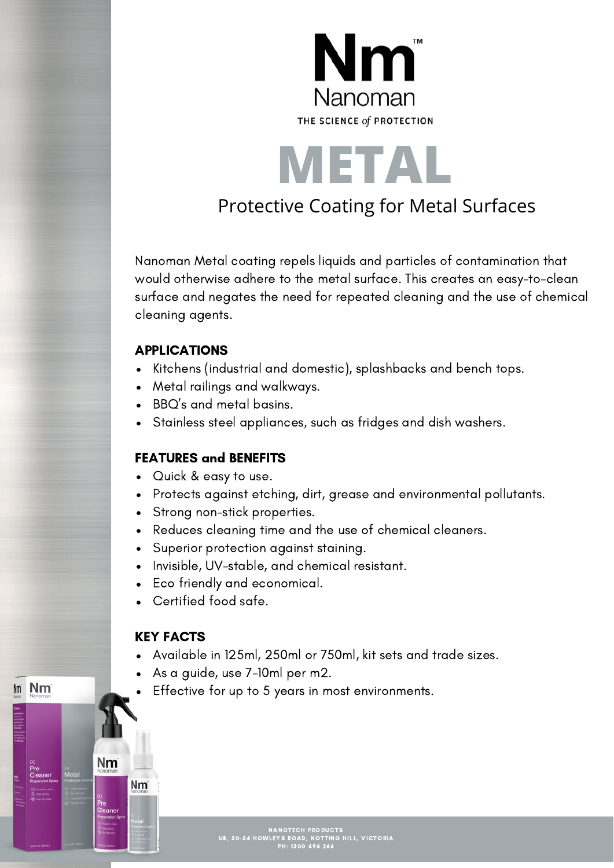

**METAL** Protective Coating for Metal Surfaces

Nanoman Metal coating repels liquids and particles of contamination that would otherwise adhere to the metal surface. This creates an easy-to-clean surface and negates the need for repeated cleaning and the use of chemical cleaning agents.

#### APPLICATIONS

- Kitchens (industrial and domestic), splashbacks and bench tops.
- Metal railings and walkways.
- BBQ's and metal basins.
- Stainless steel appliances, such as fridges and dish washers.

### FEATURES and BENEFITS

- Quick & easy to use.
- Protects against etching, dirt, grease and environmental pollutants.
- Strong non-stick properties.
- Reduces cleaning time and the use of chemical cleaners.
- Superior protection against staining.
- Invisible, UV-stable, and chemical resistant.
- Eco friendly and economical.
- Certified food safe.

#### KEY FACTS

**Nm** 

Nm

Nm

- Available in 125ml, 250ml or 750ml, kit sets and trade sizes.
- As a guide, use 7-10ml per m2.
- Effective for up to 5 years in most environments.